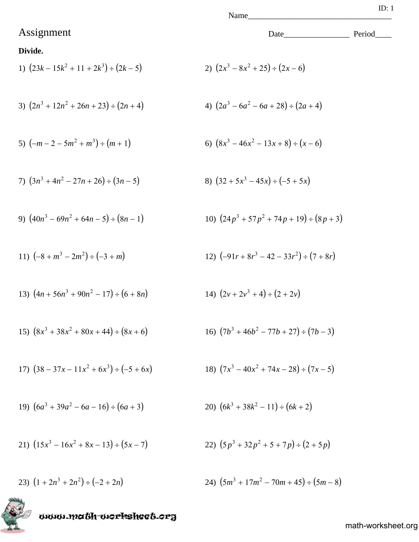## Assignment Date\_\_\_\_\_\_\_\_\_\_\_\_\_\_\_\_ Period\_\_\_\_

#### **Divide.**

1) 
$$
(23k - 15k^2 + 11 + 2k^3) \div (2k - 5)
$$
  
2)  $(2x^3 - 8x^2 + 25) \div (2x - 6)$ 

3) 
$$
(2n^3 + 12n^2 + 26n + 23) \div (2n + 4)
$$
  
4)  $(2a^3 - 6a^2 - 6a + 28) \div (2a + 4)$ 

5) 
$$
(-m-2-5m^2+m^3) \div (m+1)
$$
   
6)  $(8x^3-46x^2-13x+8) \div (x-6)$ 

7) 
$$
(3n^3 + 4n^2 - 27n + 26) \div (3n - 5)
$$
  
8)  $(32 + 5x^3 - 45x) \div (-5 + 5x)$ 

9) 
$$
(40n^3 - 69n^2 + 64n - 5) \div (8n - 1)
$$
  
10)  $(24p^3 + 57p^2 + 74p + 19) \div (8p + 3)$ 

11) 
$$
(-8 + m^3 - 2m^2) \div (-3 + m)
$$
  
12)  $(-91r + 8r^3 - 42 - 33r^2) \div (7 + 8r)$ 

13) 
$$
(4n + 56n^3 + 90n^2 - 17) \div (6 + 8n)
$$
  
14)  $(2v + 2v^3 + 4) \div (2 + 2v)$ 

15) 
$$
(8x^3 + 38x^2 + 80x + 44) \div (8x + 6)
$$
  
16)  $(7b^3 + 46b^2 - 77b + 27) \div (7b - 3)$ 

17) 
$$
(38 - 37x - 11x^2 + 6x^3) \div (-5 + 6x)
$$
  
18)  $(7x^3 - 40x^2 + 74x - 28) \div (7x - 5)$ 

19) 
$$
(6a^3 + 39a^2 - 6a - 16) \div (6a + 3)
$$
  
20)  $(6k^3 + 38k^2 - 11) \div (6k + 2)$ 

21) 
$$
(15x^3 - 16x^2 + 8x - 13) \div (5x - 7)
$$
  
22)  $(5p^3 + 32p^2 + 5 + 7p) \div (2 + 5p)$ 

23) 
$$
(1+2n^3+2n^2) \div (-2+2n)
$$
  
24)  $(5m^3+17m^2-70m+45) \div (5m-8)$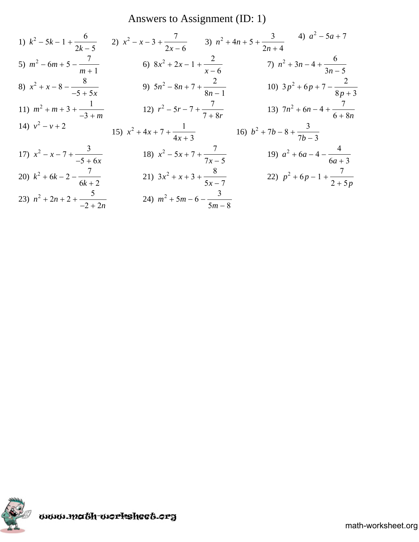## Answers to Assignment (ID: 1)

1) 
$$
k^2 - 5k - 1 + \frac{6}{2k - 5}
$$
  
\n2)  $x^2 - x - 3 + \frac{7}{2x - 6}$   
\n3)  $n^2 + 4n + 5 + \frac{3}{2n + 4}$   
\n4)  $a^2 - 5a + 7$   
\n5)  $m^2 - 6m + 5 - \frac{7}{m + 1}$   
\n6)  $8x^2 + 2x - 1 + \frac{2}{x - 6}$   
\n7)  $n^2 + 3n - 4 + \frac{6}{3n - 5}$   
\n8)  $x^2 + x - 8 - \frac{8}{-5 + 5x}$   
\n9)  $5n^2 - 8n + 7 + \frac{2}{8n - 1}$   
\n10)  $3p^2 + 6p + 7 - \frac{2}{8p + 3}$   
\n11)  $m^2 + m + 3 + \frac{1}{-3 + m}$   
\n12)  $r^2 - 5r - 7 + \frac{7}{7 + 8r}$   
\n13)  $7n^2 + 6n - 4 + \frac{7}{6 + 8n}$   
\n14)  $v^2 - v + 2$   
\n15)  $x^2 + 4x + 7 + \frac{1}{4x + 3}$   
\n16)  $b^2 + 7b - 8 + \frac{3}{7b - 3}$   
\n17)  $x^2 - x - 7 + \frac{3}{-5 + 6x}$   
\n18)  $x^2 - 5x + 7 + \frac{7}{7x - 5}$   
\n19)  $a^2 + 6a - 4 - \frac{4}{6a + 3}$   
\n20)  $k^2 + 6k - 2 - \frac{7}{6k + 2}$   
\n21)  $3x^2 + x + 3 + \frac{8}{5x - 7}$   
\n22)  $p^2 + 6p - 1 + \frac{7}{2 + 5p}$   
\n23)  $n^2 + 2n + 2 + \frac{5}{-2 + 2n}$   
\n24)  $m^2 + 5m - 6 - \frac{3}{5m - 8}$ 

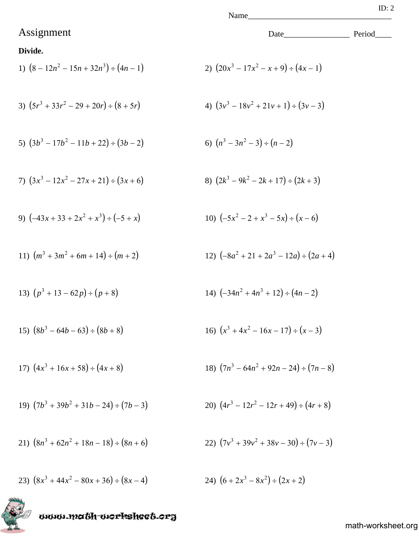### Assignment Date\_\_\_\_\_\_\_\_\_\_\_\_\_\_\_\_ Period\_\_\_\_

#### **Divide.**

1) 
$$
(8 - 12n^2 - 15n + 32n^3) \div (4n - 1)
$$
  
2)  $(20x^3 - 17x^2 - x + 9) \div (4x - 1)$ 

3) 
$$
(5r^3 + 33r^2 - 29 + 20r) \div (8 + 5r)
$$
  
4)  $(3v^3 - 18v^2 + 21v + 1) \div (3v - 3)$ 

5) 
$$
(3b^3 - 17b^2 - 11b + 22) \div (3b - 2)
$$
   
6)  $(n^3 - 3n^2 - 3) \div (n - 2)$ 

7) 
$$
(3x^3 - 12x^2 - 27x + 21) \div (3x + 6)
$$
  
8)  $(2k^3 - 9k^2 - 2k + 17) \div (2k + 3)$ 

9) 
$$
(-43x + 33 + 2x^2 + x^3) \div (-5 + x)
$$
  
10)  $(-5x^2 - 2 + x^3 - 5x) \div (x - 6)$ 

11) 
$$
(m^3 + 3m^2 + 6m + 14) \div (m + 2)
$$
  
12)  $(-8a^2 + 21 + 2a^3 - 12a) \div (2a + 4)$ 

13) 
$$
(p^3 + 13 - 62p) \div (p + 8)
$$
  
14)  $(-34n^2 + 4n^3 + 12) \div (4n - 2)$ 

15) 
$$
(8b^3 - 64b - 63) \div (8b + 8)
$$
  
16)  $(x^3 + 4x^2 - 16x - 17) \div (x - 3)$ 

17) 
$$
(4x^3 + 16x + 58) \div (4x + 8)
$$
  
18)  $(7n^3 - 64n^2 + 92n - 24) \div (7n - 8)$ 

19) 
$$
(7b^3 + 39b^2 + 31b - 24) \div (7b - 3)
$$
  
20)  $(4r^3 - 12r^2 - 12r + 49) \div (4r + 8)$ 

21) 
$$
(8n^3 + 62n^2 + 18n - 18) \div (8n + 6)
$$
  
22)  $(7v^3 + 39v^2 + 38v - 30) \div (7v - 3)$ 

23)  $(8x^3 + 44x^2 - 80x + 36) \div (8x - 4)$ 24)  $(6+2x^3-8x^2) \div (2x+2)$ 

www.math-worksheet.org

$$
20)\ \left(4r^3 - 12r^2 - 12r + 49\right) \div \left(4r + 8\right)
$$

$$
f_{\rm{max}}
$$

$$
ID: 2
$$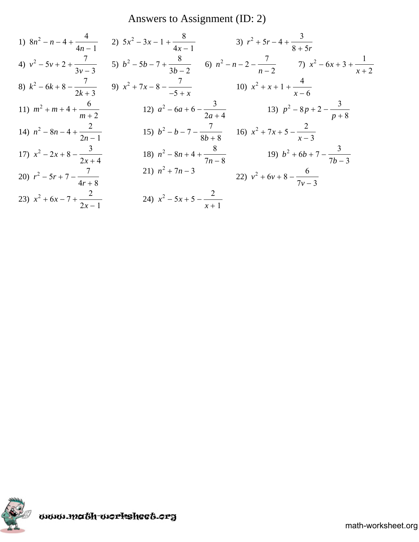## Answers to Assignment (ID: 2)

1) 
$$
8n^2 - n - 4 + \frac{4}{4n - 1}
$$
  
\n2)  $5x^2 - 3x - 1 + \frac{8}{4x - 1}$   
\n3)  $r^2 + 5r - 4 + \frac{3}{8 + 5r}$   
\n4)  $v^2 - 5v + 2 + \frac{7}{3v - 3}$   
\n5)  $b^2 - 5b - 7 + \frac{8}{3b - 2}$   
\n6)  $n^2 - n - 2 - \frac{7}{n - 2}$   
\n7)  $x^2 - 6x + 3 + \frac{1}{x + 2}$   
\n8)  $k^2 - 6k + 8 - \frac{7}{2k + 3}$   
\n9)  $x^2 + 7x - 8 - \frac{7}{-5 + x}$   
\n10)  $x^2 + x + 1 + \frac{4}{x - 6}$   
\n11)  $m^2 + m + 4 + \frac{6}{m + 2}$   
\n12)  $a^2 - 6a + 6 - \frac{3}{2a + 4}$   
\n13)  $p^2 - 8p + 2 - \frac{3}{p + 8}$   
\n14)  $n^2 - 8n - 4 + \frac{2}{2n - 1}$   
\n15)  $b^2 - b - 7 - \frac{7}{8b + 8}$   
\n16)  $x^2 + 7x + 5 - \frac{2}{x - 3}$   
\n17)  $x^2 - 2x + 8 - \frac{3}{2x + 4}$   
\n18)  $n^2 - 8n + 4 + \frac{8}{7n - 8}$   
\n19)  $b^2 + 6b + 7 - \frac{3}{7b - 3}$   
\n20)  $r^2 - 5r + 7 - \frac{7}{4r + 8}$   
\n21)  $n^2 + 7n - 3$   
\n22)  $v^2 + 6v + 8 - \frac{6}{7v - 3}$   
\n23)  $x^2 + 6x - 7 + \frac{2}{2x - 1}$   
\n24)  $x^2 - 5x + 5 - \frac{2}{x + 1}$ 

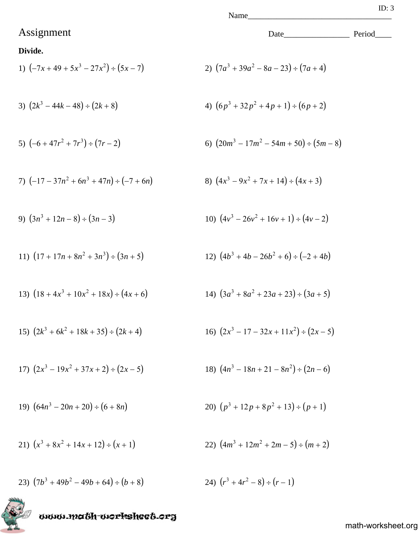### Assignment Date\_\_\_\_\_\_\_\_\_\_\_\_\_\_\_\_ Period\_\_\_\_

#### **Divide.**

1) 
$$
(-7x + 49 + 5x^3 - 27x^2) \div (5x - 7)
$$
  
2)  $(7a^3 + 39a^2 - 8a - 23) \div (7a + 4)$ 

3) 
$$
(2k^3 - 44k - 48) \div (2k + 8)
$$
  
4)  $(6p^3 + 32p^2 + 4p + 1) \div (6p + 2)$ 

5) 
$$
(-6 + 47r^2 + 7r^3) \div (7r - 2)
$$
  
6)  $(20m^3 - 17m^2 - 54m + 50) \div (5m - 8)$ 

7) 
$$
(-17 - 37n^2 + 6n^3 + 47n) \div (-7 + 6n)
$$
  
8)  $(4x^3 - 9x^2 + 7x + 14) \div (4x + 3)$ 

9) 
$$
(3n^3 + 12n - 8) \div (3n - 3)
$$
  
10)  $(4v^3 - 26v^2 + 16v + 1) \div (4v - 2)$ 

11) 
$$
(17 + 17n + 8n^2 + 3n^3) \div (3n + 5)
$$
  
12)  $(4b^3 + 4b - 26b^2 + 6) \div (-2 + 4b)$ 

13) 
$$
(18 + 4x^3 + 10x^2 + 18x) \div (4x + 6)
$$
  
14)  $(3a^3 + 8a^2 + 23a + 23) \div (3a + 5)$ 

15) 
$$
(2k^3 + 6k^2 + 18k + 35) \div (2k + 4)
$$
  
16)  $(2x^3 - 17 - 32x + 11x^2) \div (2x - 5)$ 

17) 
$$
(2x^3 - 19x^2 + 37x + 2) \div (2x - 5)
$$
  
18)  $(4n^3 - 18n + 21 - 8n^2) \div (2n - 6)$ 

19) 
$$
(64n^3 - 20n + 20) \div (6 + 8n)
$$
  
20)  $(p^3 + 12p + 8p^2 + 13) \div (p + 1)$ 

21) 
$$
(x^3 + 8x^2 + 14x + 12) \div (x + 1)
$$
  
22)  $(4m^3 + 12m^2 + 2m - 5) \div (m + 2)$ 

23) 
$$
(7b^3 + 49b^2 - 49b + 64) \div (b+8)
$$
  
24)  $(r^3 + 4r^2 - 8) \div (r-1)$ 

www.math-worksheet.org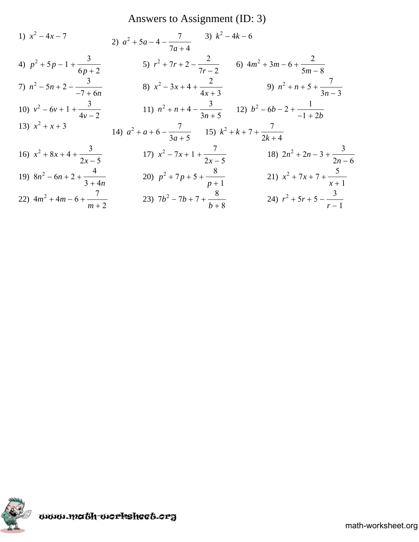## Answers to Assignment (ID: 3)

1) 
$$
x^2 - 4x - 7
$$
  
\n2)  $a^2 + 5a - 4 - \frac{7}{7a + 4}$   
\n3)  $k^2 - 4k - 6$   
\n4)  $p^2 + 5p - 1 + \frac{3}{6p + 2}$   
\n5)  $r^2 + 7r + 2 - \frac{2}{7r - 2}$   
\n6)  $4m^2 + 3m - 6 + \frac{2}{5m - 8}$   
\n7)  $n^2 - 5n + 2 - \frac{3}{-7 + 6n}$   
\n8)  $x^2 - 3x + 4 + \frac{2}{4x + 3}$   
\n9)  $n^2 + n + 5 + \frac{7}{3n - 3}$   
\n10)  $v^2 - 6v + 1 + \frac{3}{4v - 2}$   
\n11)  $n^2 + n + 4 - \frac{3}{3n + 5}$   
\n12)  $b^2 - 6b - 2 + \frac{1}{-1 + 2b}$   
\n13)  $x^2 + x + 3$   
\n14)  $a^2 + a + 6 - \frac{7}{3a + 5}$   
\n15)  $k^2 + k + 7 + \frac{7}{2k + 4}$   
\n16)  $x^2 + 8x + 4 + \frac{3}{2x - 5}$   
\n17)  $x^2 - 7x + 1 + \frac{7}{2x - 5}$   
\n18)  $2n^2 + 2n - 3 + \frac{3}{2n - 6}$   
\n19)  $8n^2 - 6n + 2 + \frac{4}{3 + 4n}$   
\n20)  $p^2 + 7p + 5 + \frac{8}{p + 1}$   
\n21)  $x^2 + 7x + 7 + \frac{5}{x + 1}$   
\n22)  $4m^2 + 4m - 6 + \frac{7}{m + 2}$   
\n23)  $7b^2 - 7b + 7 + \frac{8}{b + 8}$   
\n24)  $r^2 + 5r + 5 - \frac{3}{r - 1}$ 

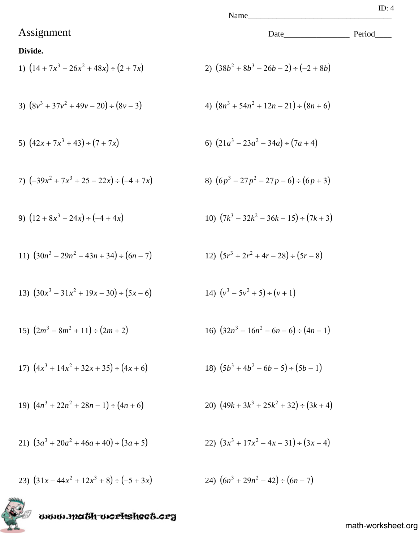## Assignment Date\_\_\_\_\_\_\_\_\_\_\_\_\_\_\_\_ Period\_\_\_\_

#### **Divide.**

1) 
$$
(14 + 7x^3 - 26x^2 + 48x) \div (2 + 7x)
$$
  
2)  $(38b^2 + 8b^3 - 26b - 2) \div (-2 + 8b)$ 

3) 
$$
(8v^3 + 37v^2 + 49v - 20) \div (8v - 3)
$$
  
4)  $(8n^3 + 54n^2 + 12n - 21) \div (8n + 6)$ 

5) 
$$
(42x + 7x^3 + 43) \div (7 + 7x)
$$
   
6)  $(21a^3 - 23a^2 - 34a) \div (7a + 4)$ 

7) 
$$
(-39x^2 + 7x^3 + 25 - 22x) \div (-4 + 7x)
$$

9) 
$$
(12 + 8x^3 - 24x) \div (-4 + 4x)
$$
  
10)  $(7k^3 - 32k^2 - 36k - 15) \div (7k + 3)$ 

11) 
$$
(30n^3 - 29n^2 - 43n + 34) \div (6n - 7)
$$
  
12)  $(5r^3 + 2r^2 + 4r - 28) \div (5r - 8)$ 

13) 
$$
(30x^3 - 31x^2 + 19x - 30) \div (5x - 6)
$$
  
14)  $(v^3 - 5v^2 + 5) \div (v + 1)$ 

15) 
$$
(2m^3 - 8m^2 + 11) \div (2m + 2)
$$
  
16)  $(32n^3 - 16n^2 - 6n - 6) \div (4n - 1)$ 

17) 
$$
(4x^3 + 14x^2 + 32x + 35) \div (4x + 6)
$$
  
18)  $(5b^3 + 4b^2 - 6b - 5) \div (5b - 1)$ 

19) 
$$
(4n^3 + 22n^2 + 28n - 1) \div (4n + 6)
$$
  
20)  $(49k + 3k^3 + 25k^2 + 32) \div (3k + 4)$ 

21) 
$$
(3a^3 + 20a^2 + 46a + 40) \div (3a + 5)
$$
  
22)  $(3x^3 + 17x^2 - 4x - 31) \div (3x - 4)$ 

23)  $(31x - 44x^2 + 12x^3 + 8) \div (-5 + 3x)$ <br>24)  $(6n^3 + 29n^2 - 42) \div (6n - 7)$ 

www.math-worksheet.org

math-worksheet.org

8)  $(6p^3 - 27p^2 - 27p - 6) \div (6p + 3)$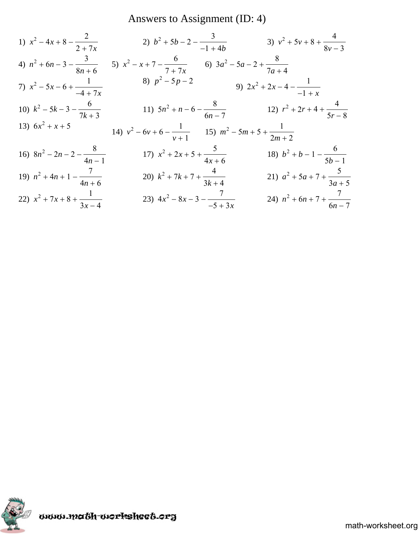Answers to Assignment (ID: 4)

1) 
$$
x^2 - 4x + 8 - \frac{2}{2 + 7x}
$$
  
\n2)  $b^2 + 5b - 2 - \frac{3}{-1 + 4b}$   
\n3)  $v^2 + 5v + 8 + \frac{4}{8v - 3}$   
\n4)  $n^2 + 6n - 3 - \frac{3}{8n + 6}$   
\n5)  $x^2 - x + 7 - \frac{6}{7 + 7x}$   
\n6)  $3a^2 - 5a - 2 + \frac{8}{7a + 4}$   
\n7)  $x^2 - 5x - 6 + \frac{1}{-4 + 7x}$   
\n8)  $p^2 - 5p - 2$   
\n9)  $2x^2 + 2x - 4 - \frac{1}{-1 + x}$   
\n10)  $k^2 - 5k - 3 - \frac{6}{7k + 3}$   
\n11)  $5n^2 + n - 6 - \frac{8}{6n - 7}$   
\n12)  $r^2 + 2r + 4 + \frac{4}{5r - 8}$   
\n13)  $6x^2 + x + 5$   
\n14)  $v^2 - 6v + 6 - \frac{1}{v + 1}$   
\n15)  $m^2 - 5m + 5 + \frac{1}{2m + 2}$   
\n16)  $8n^2 - 2n - 2 - \frac{8}{4n - 1}$   
\n17)  $x^2 + 2x + 5 + \frac{5}{4x + 6}$   
\n18)  $b^2 + b - 1 - \frac{6}{5b - 1}$   
\n19)  $n^2 + 4n + 1 - \frac{7}{4n + 6}$   
\n20)  $k^2 + 7k + 7 + \frac{4}{3k + 4}$   
\n21)  $a^2 + 5a + 7 + \frac{5}{3a + 5}$   
\n22)  $x^2 + 7x + 8 + \frac{1}{3x - 4}$   
\n23)  $4x^2 - 8x - 3 - \frac{7}{-5 + 3x}$   
\n24)  $n^2 + 6n + 7 + \frac{7}{6n - 7}$ 

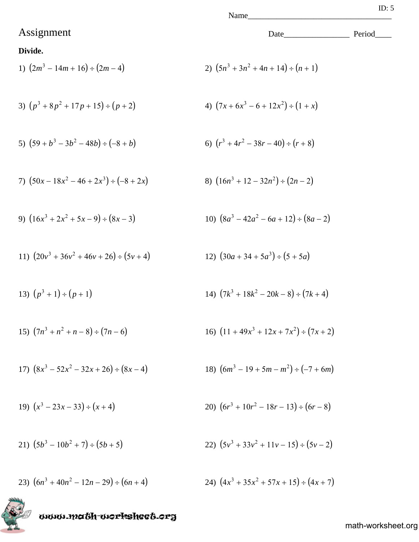## Assignment Date\_\_\_\_\_\_\_\_\_\_\_\_\_\_\_\_ Period\_\_\_\_

#### **Divide.**

1) 
$$
(2m^3 - 14m + 16) \div (2m - 4)
$$
  
2)  $(5n^3 + 3n^2 + 4n + 14) \div (n + 1)$ 

3) 
$$
(p^3 + 8p^2 + 17p + 15) \div (p + 2)
$$
  
4)  $(7x + 6x^3 - 6 + 12x^2) \div (1 + x)$ 

5) 
$$
(59 + b^3 - 3b^2 - 48b) \div (-8 + b)
$$
  
6)  $(r^3 + 4r^2 - 38r - 40) \div (r + 8)$ 

7) 
$$
(50x - 18x^2 - 46 + 2x^3) \div (-8 + 2x)
$$
  
8)  $(16n^3 + 12 - 32n^2) \div (2n - 2)$ 

9) 
$$
(16x^3 + 2x^2 + 5x - 9) \div (8x - 3)
$$
  
10)  $(8a^3 - 42a^2 - 6a + 12) \div (8a - 2)$ 

11) 
$$
(20v^3 + 36v^2 + 46v + 26) \div (5v + 4)
$$
  
12)  $(30a + 34 + 5a^3) \div (5 + 5a)$ 

13) 
$$
(p^3 + 1) \div (p + 1)
$$
  
14)  $(7k^3 + 18k^2 - 20k - 8) \div (7k + 4)$ 

15) 
$$
(7n^3 + n^2 + n - 8) \div (7n - 6)
$$
  
16)  $(11 + 49x^3 + 12x + 7x^2) \div (7x + 2)$ 

17) 
$$
(8x^3 - 52x^2 - 32x + 26) \div (8x - 4)
$$
  
18)  $(6m^3 - 19 + 5m - m^2) \div (-7 + 6m)$ 

19) 
$$
(x^3 - 23x - 33) \div (x + 4)
$$
  
20)  $(6r^3 + 10r^2 - 18r - 13) \div (6r - 8)$ 

21) 
$$
(5b^3 - 10b^2 + 7) \div (5b + 5)
$$
  
22)  $(5v^3 + 33v^2 + 11v - 15) \div (5v - 2)$ 

23)  $(6n^3 + 40n^2 - 12n - 29) \div (6n + 4)$ <br>24)  $(4x^3 + 35x^2 + 57x + 15) \div (4x + 7)$ 

gaom.magh-morksheet.org

20) 
$$
(6r^3 + 10r^2 - 18r - 13) \div (6r - 8)
$$

22) 
$$
(5v^3 + 33v^2 + 11v - 15) \div (5v - 2)
$$

$$
(6r^3 + 10r^2 - 18r - 13) \div (6r - 8)
$$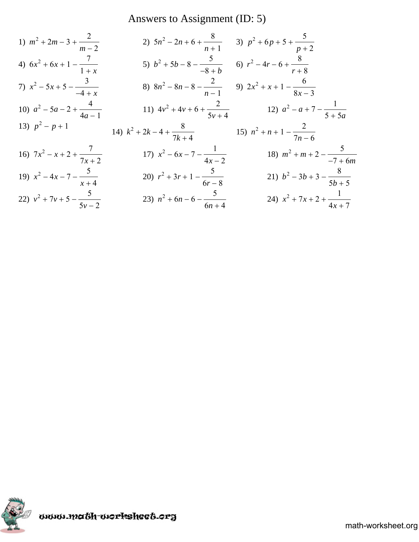## Answers to Assignment (ID: 5)

1) 
$$
m^2 + 2m - 3 + \frac{2}{m-2}
$$
  
\n2)  $5n^2 - 2n + 6 + \frac{8}{n+1}$   
\n3)  $p^2 + 6p + 5 + \frac{5}{p+2}$   
\n4)  $6x^2 + 6x + 1 - \frac{7}{1+x}$   
\n5)  $b^2 + 5b - 8 - \frac{5}{-8+b}$   
\n6)  $r^2 - 4r - 6 + \frac{8}{r+8}$   
\n7)  $x^2 - 5x + 5 - \frac{3}{-4+x}$   
\n8)  $8n^2 - 8n - 8 - \frac{2}{n-1}$   
\n9)  $2x^2 + x + 1 - \frac{6}{8x-3}$   
\n10)  $a^2 - 5a - 2 + \frac{4}{4a-1}$   
\n11)  $4v^2 + 4v + 6 + \frac{2}{5v+4}$   
\n12)  $a^2 - a + 7 - \frac{1}{5+5a}$   
\n13)  $p^2 - p + 1$   
\n14)  $k^2 + 2k - 4 + \frac{8}{7k+4}$   
\n15)  $n^2 + n + 1 - \frac{2}{7n-6}$   
\n16)  $7x^2 - x + 2 + \frac{7}{7x+2}$   
\n17)  $x^2 - 6x - 7 - \frac{1}{4x-2}$   
\n18)  $m^2 + m + 2 - \frac{5}{-7+6m}$   
\n19)  $x^2 - 4x - 7 - \frac{5}{x+4}$   
\n20)  $r^2 + 3r + 1 - \frac{5}{6r-8}$   
\n21)  $b^2 - 3b + 3 - \frac{8}{5b+5}$   
\n22)  $v^2 + 7v + 5 - \frac{5}{5v-2}$   
\n23)  $n^2 + 6n - 6 - \frac{5}{6n+4}$   
\n24)  $x^2 + 7x + 2 + \frac{1}{4x+7}$ 

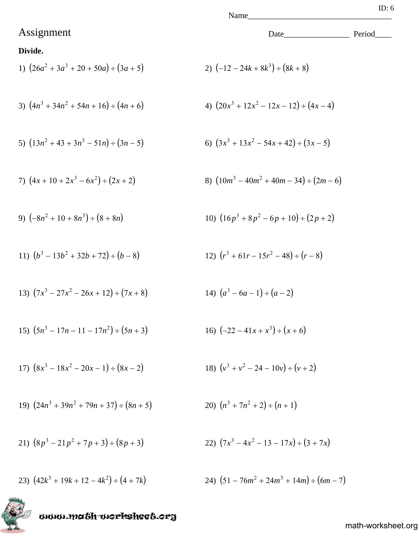## Assignment Date\_\_\_\_\_\_\_\_\_\_\_\_\_\_\_\_ Period\_\_\_\_

#### **Divide.**

1) 
$$
(26a^2 + 3a^3 + 20 + 50a) \div (3a + 5)
$$
  
2)  $(-12 - 24k + 8k^3) \div (8k + 8)$ 

3) 
$$
(4n^3 + 34n^2 + 54n + 16) \div (4n + 6)
$$
  
4)  $(20x^3 + 12x^2 - 12x - 12) \div (4x - 4)$ 

5) 
$$
(13n^2 + 43 + 3n^3 - 51n) \div (3n - 5)
$$
  
6)  $(3x^3 + 13x^2 - 54x + 42) \div (3x - 5)$ 

7) 
$$
(4x+10+2x^3-6x^2) \div (2x+2)
$$
  
8)  $(10m^3-40m^2+40m-34) \div (2m-6)$ 

9) 
$$
(-8n^2 + 10 + 8n^3) \div (8 + 8n)
$$
  
10)  $(16p^3 + 8p^2 - 6p + 10) \div (2p + 2)$ 

11) 
$$
(b^3 - 13b^2 + 32b + 72) \div (b - 8)
$$
  
12)  $(r^3 + 61r - 15r^2 - 48) \div (r - 8)$ 

13) 
$$
(7x^3 - 27x^2 - 26x + 12) \div (7x + 8)
$$
  
14)  $(a^3 - 6a - 1) \div (a - 2)$ 

15) 
$$
(5n^3 - 17n - 11 - 17n^2) \div (5n + 3)
$$
  
16)  $(-22 - 41x + x^3) \div (x + 6)$ 

17) 
$$
(8x^3 - 18x^2 - 20x - 1) \div (8x - 2)
$$
  
18)  $(v^3 + v^2 - 24 - 10v) \div (v + 2)$ 

19) 
$$
(24n^3 + 39n^2 + 79n + 37) \div (8n + 5)
$$
  
20)  $(n^3 + 7n^2 + 2) \div (n + 1)$ 

21) 
$$
(8p^3 - 21p^2 + 7p + 3) \div (8p + 3)
$$

23) 
$$
(42k^3 + 19k + 12 - 4k^2) \div (4 + 7k)
$$



$$
(7x^3 - 4x^2 - 13 - 17x) \div (3 + 7x)
$$

$$
+ (4 + 7k) \qquad \qquad 24) (51 - 76m^2 + 24m^3 + 14m) \div (6m - 7)
$$

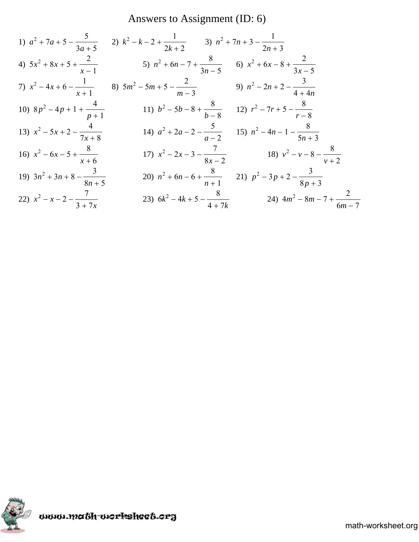## Answers to Assignment (ID: 6)

1) 
$$
a^2 + 7a + 5 - \frac{5}{3a + 5}
$$
  
\n2)  $k^2 - k - 2 + \frac{1}{2k + 2}$   
\n3)  $n^2 + 7n + 3 - \frac{1}{2n + 3}$   
\n4)  $5x^2 + 8x + 5 + \frac{2}{x - 1}$   
\n5)  $n^2 + 6n - 7 + \frac{8}{3n - 5}$   
\n6)  $x^2 + 6x - 8 + \frac{2}{3x - 5}$   
\n7)  $x^2 - 4x + 6 - \frac{1}{x + 1}$   
\n8)  $5m^2 - 5m + 5 - \frac{2}{m - 3}$   
\n9)  $n^2 - 2n + 2 - \frac{3}{4 + 4n}$   
\n10)  $8p^2 - 4p + 1 + \frac{4}{p + 1}$   
\n11)  $b^2 - 5b - 8 + \frac{8}{b - 8}$   
\n12)  $r^2 - 7r + 5 - \frac{8}{r - 8}$   
\n13)  $x^2 - 5x + 2 - \frac{4}{7x + 8}$   
\n14)  $a^2 + 2a - 2 - \frac{5}{a - 2}$   
\n15)  $n^2 - 4n - 1 - \frac{8}{5n + 3}$   
\n16)  $x^2 - 6x - 5 + \frac{8}{x + 6}$   
\n17)  $x^2 - 2x - 3 - \frac{7}{8x - 2}$   
\n18)  $v^2 - v - 8 - \frac{8}{v + 2}$   
\n19)  $3n^2 + 3n + 8 - \frac{3}{8n + 5}$   
\n20)  $n^2 + 6n - 6 + \frac{8}{n + 1}$   
\n21)  $p^2 - 3p + 2 - \frac{3}{8p + 3}$   
\n22)  $x^2 - x - 2 - \frac{7}{3 + 7x}$   
\n23)  $6k^2 - 4k + 5 - \frac{8}{4 + 7k}$   
\n24)  $4m^2 - 8m - 7 + \frac{2}{6m - 7}$ 

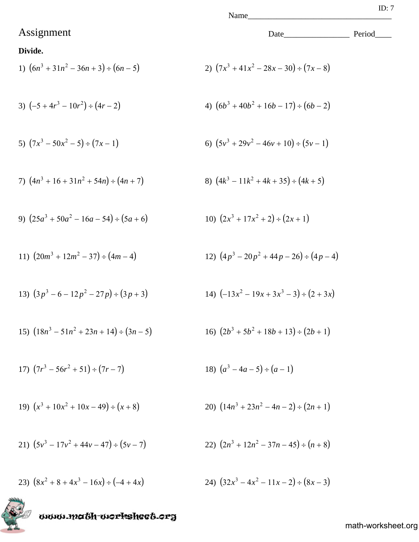## Assignment Date\_\_\_\_\_\_\_\_\_\_\_\_\_\_\_\_ Period\_\_\_\_

#### **Divide.**

1) 
$$
(6n^3 + 31n^2 - 36n + 3) \div (6n - 5)
$$
  
2)  $(7x^3 + 41x^2 - 28x - 30) \div (7x - 8)$ 

3) 
$$
(-5 + 4r^3 - 10r^2) \div (4r - 2)
$$
  
4)  $(6b^3 + 40b^2 + 16b - 17) \div (6b - 2)$ 

5) 
$$
(7x^3 - 50x^2 - 5) \div (7x - 1)
$$
  
6)  $(5y^3 + 29y^2 - 46y + 10) \div (5y - 1)$ 

7) 
$$
(4n^3 + 16 + 31n^2 + 54n) \div (4n + 7)
$$
  
8)  $(4k^3 - 11k^2 + 4k + 35) \div (4k + 5)$ 

9) 
$$
(25a^3 + 50a^2 - 16a - 54) \div (5a + 6)
$$
 10)

11) 
$$
(20m^3 + 12m^2 - 37) \div (4m - 4)
$$
  
12)  $(4p^3 - 20p^2 + 44p - 26) \div (4p - 4)$ 

13) 
$$
(3p^3 - 6 - 12p^2 - 27p) \div (3p + 3)
$$
  
14)  $(-13x^2 - 19x + 3x^3 - 3) \div (2 + 3x)$ 

15) 
$$
(18n^3 - 51n^2 + 23n + 14) \div (3n - 5)
$$
  
16)  $(2b^3 + 5b^2 + 18b + 13) \div (2b + 1)$ 

17) 
$$
(7r^3 - 56r^2 + 51) \div (7r - 7)
$$
  
18)  $(a^3 - 4a - 5) \div (a - 1)$ 

19) 
$$
(x^3 + 10x^2 + 10x - 49) \div (x + 8)
$$
  
20)  $(14n^3 + 23n^2 - 4n - 2) \div (2n + 1)$ 

21) 
$$
(5v^3 - 17v^2 + 44v - 47) \div (5v - 7)
$$
  
22)  $(2n^3 + 12n^2 - 37n - 45) \div (n + 8)$ 

23) 
$$
(8x^2 + 8 + 4x^3 - 16x) \div (-4 + 4x)
$$
  
24)  $(32x^3 - 4x^2 - 11x - 2) \div (8x - 3)$ 

# www.ma6h-workshee6.org

math-worksheet.org

 $(2x^3 + 17x^2 + 2) \div (2x + 1)$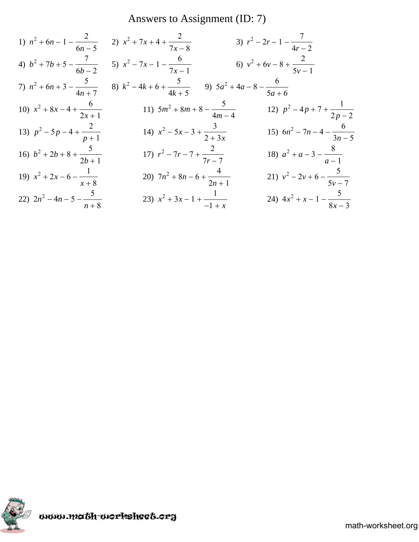Answers to Assignment (ID: 7)

1) 
$$
n^2 + 6n - 1 - \frac{2}{6n - 5}
$$
  
\n2)  $x^2 + 7x + 4 + \frac{2}{7x - 8}$   
\n3)  $r^2 - 2r - 1 - \frac{7}{4r - 2}$   
\n4)  $b^2 + 7b + 5 - \frac{7}{6b - 2}$   
\n5)  $x^2 - 7x - 1 - \frac{6}{7x - 1}$   
\n6)  $v^2 + 6v - 8 + \frac{2}{5v - 1}$   
\n7)  $n^2 + 6n + 3 - \frac{5}{4n + 7}$   
\n8)  $k^2 - 4k + 6 + \frac{5}{4k + 5}$   
\n9)  $5a^2 + 4a - 8 - \frac{6}{5a + 6}$   
\n10)  $x^2 + 8x - 4 + \frac{6}{2x + 1}$   
\n11)  $5m^2 + 8m + 8 - \frac{5}{4m - 4}$   
\n12)  $p^2 - 4p + 7 + \frac{1}{2p - 2}$   
\n13)  $p^2 - 5p - 4 + \frac{2}{p + 1}$   
\n14)  $x^2 - 5x - 3 + \frac{3}{2 + 3x}$   
\n15)  $6n^2 - 7n - 4 - \frac{6}{3n - 5}$   
\n16)  $b^2 + 2b + 8 + \frac{5}{2b + 1}$   
\n17)  $r^2 - 7r - 7 + \frac{2}{7r - 7}$   
\n18)  $a^2 + a - 3 - \frac{8}{a - 1}$   
\n19)  $x^2 + 2x - 6 - \frac{1}{x + 8}$   
\n20)  $7n^2 + 8n - 6 + \frac{4}{2n + 1}$   
\n21)  $v^2 - 2v + 6 - \frac{5}{5v - 7}$   
\n22)  $2n^2 - 4n - 5 - \frac{5}{n + 8}$   
\n23)  $x^2 + 3x - 1 + \frac{1}{-1 + x}$   
\n24)  $4x^2 + x - 1 - \frac{5}{8x - 3}$ 

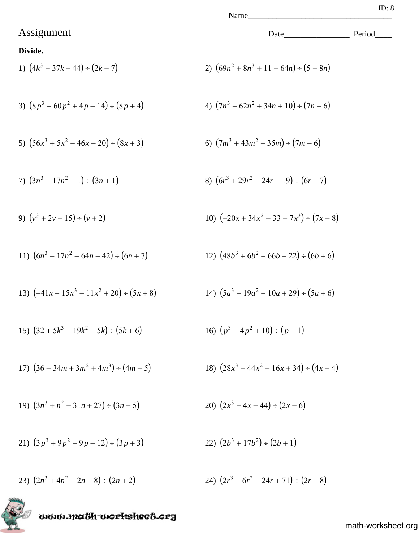## Assignment Date\_\_\_\_\_\_\_\_\_\_\_\_\_\_\_\_ Period\_\_\_\_

#### **Divide.**

1) 
$$
(4k^3 - 37k - 44) \div (2k - 7)
$$
  
2)  $(69n^2 + 8n^3 + 11 + 64n) \div (5 + 8n)$ 

3) 
$$
(8p^3 + 60p^2 + 4p - 14) \div (8p + 4)
$$
  
4)  $(7n^3 - 62n^2 + 34n + 10) \div (7n - 6)$ 

5) 
$$
(56x^3 + 5x^2 - 46x - 20) \div (8x + 3)
$$
   
6)  $(7m^3 + 43m^2 - 35m) \div (7m - 6)$ 

7) 
$$
(3n^3 - 17n^2 - 1) \div (3n + 1)
$$
  
8)  $(6r^3 + 29r^2 - 24r - 19) \div (6r - 7)$ 

9) 
$$
(v^3 + 2v + 15) \div (v + 2)
$$
  
10)  $(-20x + 34x^2 - 33 + 7x^3) \div (7x - 8)$ 

11) 
$$
(6n^3 - 17n^2 - 64n - 42) \div (6n + 7)
$$
  
12)  $(48b^3 + 6b^2 - 66b - 22) \div (6b + 6)$ 

13) 
$$
(-41x + 15x^3 - 11x^2 + 20) \div (5x + 8)
$$
  
14)  $(5a^3 - 19a^2 - 10a + 29) \div (5a + 6)$ 

15) 
$$
(32 + 5k^3 - 19k^2 - 5k) \div (5k + 6)
$$
  
16)  $(p^3 - 4p^2 + 10) \div (p - 1)$ 

17) 
$$
(36 - 34m + 3m^2 + 4m^3) \div (4m - 5)
$$
  
18)  $(28x^3 - 44x^2 - 16x + 34) \div (4x - 4)$ 

19) 
$$
(3n^3 + n^2 - 31n + 27) \div (3n - 5)
$$
  
20)  $(2x^3 - 4x - 44) \div (2x - 6)$ 

21) 
$$
(3p^3 + 9p^2 - 9p - 12) \div (3p + 3)
$$
  
22)  $(2b^3 + 17b^2) \div (2b + 1)$ 

23) 
$$
(2n^3 + 4n^2 - 2n - 8) \div (2n + 2)
$$
  
24)  $(2r^3 - 6r^2 - 24r + 71) \div (2r - 8)$ 

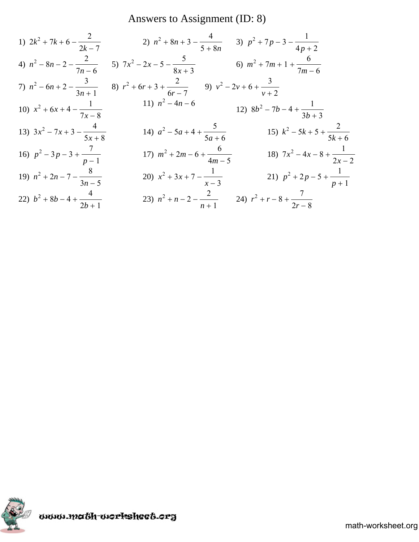Answers to Assignment (ID: 8)

1) 
$$
2k^2 + 7k + 6 - \frac{2}{2k - 7}
$$
  
\n2)  $n^2 + 8n + 3 - \frac{4}{5 + 8n}$   
\n3)  $p^2 + 7p - 3 - \frac{1}{4p + 2}$   
\n4)  $n^2 - 8n - 2 - \frac{2}{7n - 6}$   
\n5)  $7x^2 - 2x - 5 - \frac{5}{8x + 3}$   
\n6)  $m^2 + 7m + 1 + \frac{6}{7n - 6}$   
\n7)  $n^2 - 6n + 2 - \frac{3}{3n + 1}$   
\n8)  $r^2 + 6r + 3 + \frac{2}{6r - 7}$   
\n9)  $v^2 - 2v + 6 + \frac{3}{v + 2}$   
\n10)  $x^2 + 6x + 4 - \frac{1}{7x - 8}$   
\n11)  $n^2 - 4n - 6$   
\n12)  $8b^2 - 7b - 4 + \frac{1}{3b + 3}$   
\n13)  $3x^2 - 7x + 3 - \frac{4}{5x + 8}$   
\n14)  $a^2 - 5a + 4 + \frac{5}{5a + 6}$   
\n15)  $k^2 - 5k + 5 + \frac{2}{5k + 6}$   
\n16)  $p^2 - 3p - 3 + \frac{7}{p - 1}$   
\n17)  $m^2 + 2m - 6 + \frac{6}{4m - 5}$   
\n18)  $7x^2 - 4x - 8 + \frac{1}{2x - 2}$   
\n19)  $n^2 + 2n - 7 - \frac{8}{3n - 5}$   
\n20)  $x^2 + 3x + 7 - \frac{1}{x - 3}$   
\n21)  $p^2 + 2p - 5 + \frac{1}{p + 1}$   
\n22)  $b^2 + 8b - 4 + \frac{4}{2b + 1}$   
\n23)  $n^2 + n - 2 - \frac{2}{n + 1}$   
\n24)  $r^2 + r - 8 + \frac{7}{2r - 8}$ 

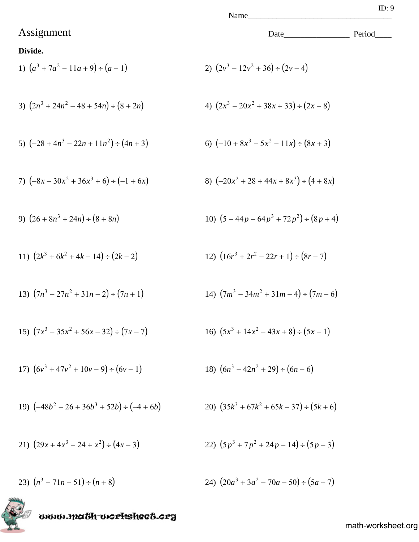## Assignment Date\_\_\_\_\_\_\_\_\_\_\_\_\_\_\_\_ Period\_\_\_\_

#### **Divide.**

1) 
$$
(a^3 + 7a^2 - 11a + 9) \div (a - 1)
$$
  
2)  $(2v^3 - 12v^2 + 36) \div (2v - 4)$ 

3) 
$$
(2n^3 + 24n^2 - 48 + 54n) \div (8 + 2n)
$$
  
4)  $(2x^3 - 20x^2 + 38x + 33) \div (2x - 8)$ 

5) 
$$
(-28 + 4n^3 - 22n + 11n^2) \div (4n + 3)
$$
   
6)  $(-10 + 8x^3 - 5x^2 - 11x) \div (8x + 3)$ 

7) 
$$
(-8x - 30x^2 + 36x^3 + 6) \div (-1 + 6x)
$$
  
8)  $(-20x^2 + 28 + 44x + 8x^3) \div (4 + 8x)$ 

9) 
$$
(26+8n^3+24n) \div (8+8n)
$$
  
10)  $(5+44p+64p^3+72p^2) \div (8p+4)$ 

11) 
$$
(2k^3 + 6k^2 + 4k - 14) \div (2k - 2)
$$
  
12)  $(16r^3 + 2r^2 - 22r + 1) \div (8r - 7)$ 

13) 
$$
(7n^3 - 27n^2 + 31n - 2) \div (7n + 1)
$$
  
14)  $(7m^3 - 34m^2 + 31m - 4) \div (7m - 6)$ 

15) 
$$
(7x^3 - 35x^2 + 56x - 32) \div (7x - 7)
$$
  
16)  $(5x^3 + 14x^2 - 43x + 8) \div (5x - 1)$ 

17) 
$$
(6v^3 + 47v^2 + 10v - 9) \div (6v - 1)
$$
  
18)  $(6n^3 - 42n^2 + 29) \div (6n - 6)$ 

19) 
$$
(-48b^2 - 26 + 36b^3 + 52b) \div (-4 + 6b)
$$
  
20)  $(35k^3 + 67k^2 + 65k + 37) \div (5k + 6)$ 

21) 
$$
(29x + 4x^3 - 24 + x^2) \div (4x - 3)
$$
  
22)  $(5p^3 + 7p^2 + 24p - 14) \div (5p - 3)$ 

24) 
$$
(20a^3 + 3a^2 - 70a - 50) \div (5a + 7)
$$

math-worksheet.org

www.ma6h-workshee6.org kT)

23)  $(n^3 - 71n - 51) \div (n + 8)$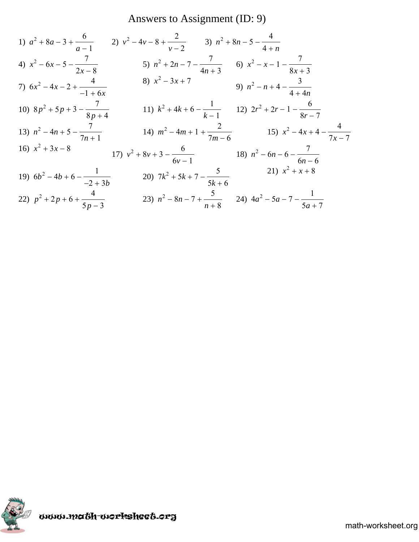## Answers to Assignment (ID: 9)

1) 
$$
a^2 + 8a - 3 + \frac{6}{a - 1}
$$
  
\n2)  $v^2 - 4v - 8 + \frac{2}{v - 2}$   
\n3)  $n^2 + 8n - 5 - \frac{4}{4 + n}$   
\n4)  $x^2 - 6x - 5 - \frac{7}{2x - 8}$   
\n5)  $n^2 + 2n - 7 - \frac{7}{4n + 3}$   
\n6)  $x^2 - x - 1 - \frac{7}{8x + 3}$   
\n7)  $6x^2 - 4x - 2 + \frac{4}{-1 + 6x}$   
\n8)  $x^2 - 3x + 7$   
\n9)  $n^2 - n + 4 - \frac{3}{4 + 4n}$   
\n10)  $8p^2 + 5p + 3 - \frac{7}{8p + 4}$   
\n11)  $k^2 + 4k + 6 - \frac{1}{k - 1}$   
\n12)  $2r^2 + 2r - 1 - \frac{6}{8r - 7}$   
\n13)  $n^2 - 4n + 5 - \frac{7}{7n + 1}$   
\n14)  $m^2 - 4m + 1 + \frac{2}{7m - 6}$   
\n15)  $x^2 - 4x + 4 - \frac{4}{7x - 7}$   
\n16)  $x^2 + 3x - 8$   
\n17)  $v^2 + 8v + 3 - \frac{6}{6v - 1}$   
\n18)  $n^2 - 6n - 6 - \frac{7}{6n - 6}$   
\n19)  $6b^2 - 4b + 6 - \frac{1}{-2 + 3b}$   
\n20)  $7k^2 + 5k + 7 - \frac{5}{5k + 6}$   
\n21)  $x^2 + x + 8$   
\n22)  $p^2 + 2p + 6 + \frac{4}{5p - 3}$   
\n23)  $n^2 - 8n - 7 + \frac{5}{n + 8}$   
\n24)  $4a^2 - 5a - 7 - \frac{1}{5a + 7}$ 

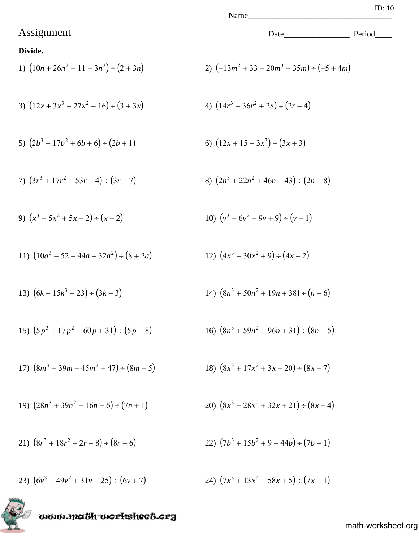## Assignment Date\_\_\_\_\_\_\_\_\_\_\_\_\_\_\_\_ Period\_\_\_\_

#### **Divide.**

1) 
$$
(10n + 26n^2 - 11 + 3n^3) \div (2 + 3n)
$$
  
2)  $(-13m^2 + 33 + 20m^3 - 35m) \div (-5 + 4m)$ 

3) 
$$
(12x + 3x^3 + 27x^2 - 16) \div (3 + 3x)
$$
  
4)  $(14r^3 - 36r^2 + 28) \div (2r - 4)$ 

5) 
$$
(2b^3 + 17b^2 + 6b + 6) \div (2b + 1)
$$
   
6)  $(12x + 15 + 3x^3) \div (3x + 3)$ 

7) 
$$
(3r^3 + 17r^2 - 53r - 4) \div (3r - 7)
$$
  
8)  $(2n^3 + 22n^2 + 46n - 43) \div (2n + 8)$ 

9) 
$$
(x^3 - 5x^2 + 5x - 2) \div (x - 2)
$$
  
10)  $(v^3 + 6v^2 - 9v + 9) \div (v - 1)$ 

11) 
$$
(10a^3 - 52 - 44a + 32a^2) \div (8 + 2a)
$$
  
12)  $(4x^3 - 30x^2 + 9) \div (4x + 2)$ 

13) 
$$
(6k + 15k^3 - 23) \div (3k - 3)
$$
  
14)  $(8n^3 + 50n^2 + 19n + 38) \div (n + 6)$ 

15) 
$$
(5p^3 + 17p^2 - 60p + 31) \div (5p - 8)
$$
  
16)  $(8n^3 + 59n^2 - 96n + 31) \div (8n - 5)$ 

17) 
$$
(8m^3 - 39m - 45m^2 + 47) \div (8m - 5)
$$
  
18)  $(8x^3 + 17x^2 + 3x - 20) \div (8x - 7)$ 

19) 
$$
(28n^3 + 39n^2 - 16n - 6) \div (7n + 1)
$$
  
20)  $(8x^3 - 28x^2 + 32x + 21) \div (8x + 4)$ 

21) 
$$
(8r^3 + 18r^2 - 2r - 8) \div (8r - 6)
$$
  
22)  $(7b^3 + 15b^2 + 9 + 44b) \div (7b + 1)$ 

23) 
$$
(6v^3 + 49v^2 + 31v - 25) \div (6v + 7)
$$
  
24)  $(7x^3 + 13x^2 - 58x + 5) \div (7x - 1)$ 

# www.math-worksheet.org

$$
18)\ \ (8x^3 + 17x^2 + 3x - 20) \div (8x - 7)
$$

20) 
$$
(8x^3 - 28x^2 + 32x + 21) \div (8x + 4)
$$